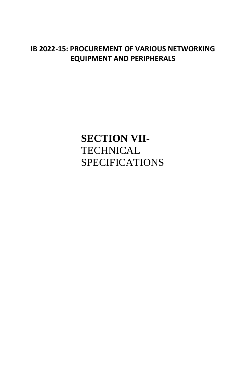## **IB 2022-15: PROCUREMENT OF VARIOUS NETWORKING EQUIPMENT AND PERIPHERALS**

**SECTION VII-TECHNICAL** SPECIFICATIONS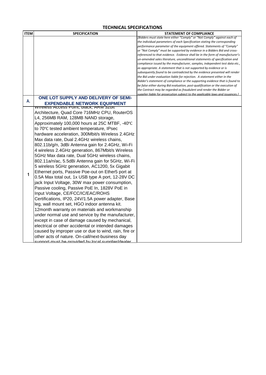## **TECHNICAL SPECIFICATIONS**

| <b>ITEM</b> | <b>SPECIFICATION</b>                                     | <b>STATEMENT OF COMPLIANCE</b>                                                                                                                       |
|-------------|----------------------------------------------------------|------------------------------------------------------------------------------------------------------------------------------------------------------|
|             |                                                          | [Bidders must state here either "Comply" or "Not Comply" against each of                                                                             |
|             |                                                          | the individual parameters of each Specification stating the corresponding                                                                            |
|             |                                                          | performance parameter of the equipment offered. Statements of "Comply"<br>or "Not Comply" must be supported by evidence in a Bidders Bid and cross-  |
|             |                                                          | referenced to that evidence. Evidence shall be in the form of manufacturer's                                                                         |
|             |                                                          | un-amended sales literature, unconditional statements of specification and                                                                           |
|             |                                                          | compliance issued by the manufacturer, samples, independent test data etc.,                                                                          |
|             |                                                          | as appropriate. A statement that is not supported by evidence or is                                                                                  |
|             |                                                          | subsequently found to be contradicted by the evidence presented will render                                                                          |
|             |                                                          | the Bid under evaluation liable for rejection. A statement either in the                                                                             |
|             |                                                          | Bidder's statement of compliance or the supporting evidence that is found to                                                                         |
|             |                                                          | be false either during Bid evaluation, post-qualification or the execution of                                                                        |
|             |                                                          | the Contract may be regarded as fraudulent and render the Bidder or<br>supplier liable for prosecution subject to the applicable laws and issuances. |
|             | ONE LOT SUPPLY AND DELIVERY OF SEMI-                     |                                                                                                                                                      |
| А.          | <b>EXPENDABLE NETWORK EQUIPMENT</b>                      |                                                                                                                                                      |
|             | <b>WIFERESS ACCESS POINT, DIACK, ARM 32DIT</b>           |                                                                                                                                                      |
|             | Architecture, Quad Core 716MHz CPU, RouterOS             |                                                                                                                                                      |
|             | L4, 256MB RAM, 128MB NAND storage,                       |                                                                                                                                                      |
|             | Approximately 100,000 hours at 25C MTBF, -40°C           |                                                                                                                                                      |
|             | to 70°C tested ambient temperature, IPsec                |                                                                                                                                                      |
|             | hardware acceleration, 300Mbit/s Wireless 2.4GHz         |                                                                                                                                                      |
|             | Max data rate, Dual 2.4GHz wireless chains,              |                                                                                                                                                      |
|             | 802.11b/g/n, 3dBi Antenna gain for 2.4GHz, Wi-Fi         |                                                                                                                                                      |
|             | 4 wireless 2.4GHz generation, 867Mbit/s Wireless         |                                                                                                                                                      |
|             | 5GHz Max data rate, Dual 5GHz wireless chains,           |                                                                                                                                                      |
|             | 802.11a/n/ac, 5.5dBi Antenna gain for 5GHz, Wi-Fi        |                                                                                                                                                      |
|             | 5 wireless 5GHz generation, AC1200, 5x Gigabit           |                                                                                                                                                      |
|             | Ethernet ports, Passive Poe-out on Ether5 port at        |                                                                                                                                                      |
| 1           |                                                          |                                                                                                                                                      |
|             | 0.5A Max total out, 1x USB type A port, 12-28V DC        |                                                                                                                                                      |
|             | jack Input Voltage, 30W max power consumption,           |                                                                                                                                                      |
|             | Passive cooling, Passive PoE In, 1828V PoE in            |                                                                                                                                                      |
|             | Input Voltage, CE/FCC/IC/EAC/ROHS                        |                                                                                                                                                      |
|             | Certifications, IP20, 24V/1.5A power adapter, Base       |                                                                                                                                                      |
|             | leg, wall mount set, HGO indoor antenna kit.             |                                                                                                                                                      |
|             | 12month warranty on materials and workmanship            |                                                                                                                                                      |
|             | under normal use and service by the manufacturer,        |                                                                                                                                                      |
|             | except in case of damage caused by mechanical,           |                                                                                                                                                      |
|             | electrical or other accidental or intended damages       |                                                                                                                                                      |
|             | caused by improper use or due to wind, rain, fire or     |                                                                                                                                                      |
|             | other acts of nature. On-call/next-business day          |                                                                                                                                                      |
|             | <u>eunnart muet ha nravidad hy lacal eunnliar/daalar</u> |                                                                                                                                                      |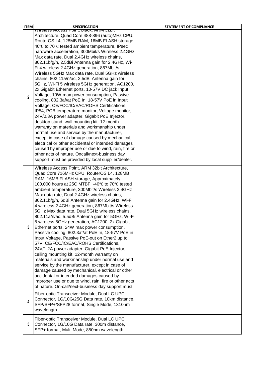| <b>ITEM</b>    | <b>SPECIFICATION</b>                                                                              | <b>STATEMENT OF COMPLIANCE</b> |
|----------------|---------------------------------------------------------------------------------------------------|--------------------------------|
|                | <u>WITERESS ACCESS POINT, DIACK, ARMI SZDIL</u><br>Architecture, Quad Core 488-896 (auto)MHz CPU, |                                |
|                | RouterOS L4, 128MB RAM, 16MB FLASH storage,                                                       |                                |
|                | 40°C to 70°C tested ambient temperature, IPsec                                                    |                                |
|                | hardware acceleration, 300Mbit/s Wireless 2.4GHz                                                  |                                |
|                | Max data rate, Dual 2.4GHz wireless chains,                                                       |                                |
|                | 802.11b/g/n, 2.5dBi Antenna gain for 2.4GHz, Wi-                                                  |                                |
|                | Fi 4 wireless 2.4GHz generation, 867Mbit/s                                                        |                                |
|                | Wireless 5GHz Max data rate, Dual 5GHz wireless                                                   |                                |
|                | chains, 802.11a/n/ac, 2.5dBi Antenna gain for<br>5GHz, Wi-Fi 5 wireless 5GHz generation, AC1200,  |                                |
|                | 2x Gigabit Ethernet ports, 10-57V DC jack Input                                                   |                                |
|                | Voltage, 10W max power consumption, Passive                                                       |                                |
| $\overline{2}$ | cooling, 802.3af/at PoE In, 18-57V PoE in Input                                                   |                                |
|                | Voltage, CE/FCC/IC/EAC/ROHS Certifications,                                                       |                                |
|                | IP54, PCB temperature monitor, Voltage monitor,                                                   |                                |
|                | 24V/0.8A power adapter, Gigabit PoE Injector,                                                     |                                |
|                | desktop stand, wall mounting kit. 12-month                                                        |                                |
|                | warranty on materials and workmanship under<br>normal use and service by the manufacturer,        |                                |
|                | except in case of damage caused by mechanical,                                                    |                                |
|                | electrical or other accidental or intended damages                                                |                                |
|                | caused by improper use or due to wind, rain, fire or                                              |                                |
|                | other acts of nature. Oncall/next-business day                                                    |                                |
|                | support must be provided by local supplier/dealer.                                                |                                |
|                | Wireless Access Point, ARM 32bit Architecture,                                                    |                                |
|                | Quad Core 716MHz CPU, RouterOS L4, 128MB                                                          |                                |
|                | RAM, 16MB FLASH storage, Approximately                                                            |                                |
|                | 100,000 hours at 25C MTBF, -40°C to 70°C tested                                                   |                                |
|                | ambient temperature, 300Mbit/s Wireless 2.4GHz<br>Max data rate, Dual 2.4GHz wireless chains,     |                                |
|                | 802.11b/g/n, 6dBi Antenna gain for 2.4GHz, Wi-Fi                                                  |                                |
|                | 4 wireless 2.4GHz generation, 867Mbit/s Wireless                                                  |                                |
|                | 5GHz Max data rate, Dual 5GHz wireless chains,                                                    |                                |
|                | 802.11a/n/ac, 5.5dBi Antenna gain for 5GHz, Wi-Fi                                                 |                                |
|                | 5 wireless 5GHz generation, AC1200, 2x Gigabit                                                    |                                |
| 3              | Ethernet ports, 24W max power consumption,<br>Passive cooling, 802.3af/at PoE In, 18-57V PoE in   |                                |
|                | Input Voltage, Passive PoE-out on Ether2 up to                                                    |                                |
|                | 57V, CE/FCC/IC/EAC/ROHS Certifications,                                                           |                                |
|                | 24V/1.2A power adapter, Gigabit PoE Injector,                                                     |                                |
|                | ceiling mounting kit. 12-month warranty on                                                        |                                |
|                | materials and workmanship under normal use and                                                    |                                |
|                | service by the manufacturer, except in case of                                                    |                                |
|                | damage caused by mechanical, electrical or other<br>accidental or intended damages caused by      |                                |
|                | improper use or due to wind, rain, fire or other acts                                             |                                |
|                | of nature. On-call/next-business day support must                                                 |                                |
|                | Fiber-optic Transceiver Module, Dual LC UPC                                                       |                                |
| 4              | Connector, 1G/10G/25G Data rate, 10km distance,                                                   |                                |
|                | SFP/SFP+/SFP28 format, Single Mode, 1310nm                                                        |                                |
|                | wavelength.                                                                                       |                                |
|                | Fiber-optic Transceiver Module, Dual LC UPC                                                       |                                |
| 5              | Connector, 1G/10G Data rate, 300m distance,                                                       |                                |
|                | SFP+ format, Multi Mode, 850nm wavelength.                                                        |                                |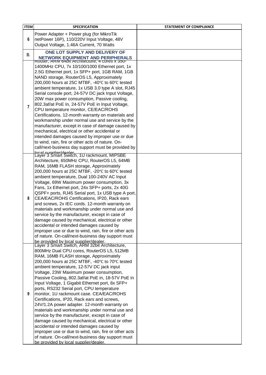| <b>ITEM</b> | <b>SPECIFICATION</b>                                                                                                                                | <b>STATEMENT OF COMPLIANCE</b> |
|-------------|-----------------------------------------------------------------------------------------------------------------------------------------------------|--------------------------------|
|             | Power Adapter + Power plug (for MikroTik                                                                                                            |                                |
| 6           | netPower 16P), 110/220V Input Voltage, 48V                                                                                                          |                                |
|             | Output Voltage, 1.46A Current, 70 Watts                                                                                                             |                                |
|             | ONE LOT SUPPLY AND DELIVERY OF                                                                                                                      |                                |
| В.          | <b>NETWORK EQUIPMENT AND PERIPHERALS</b>                                                                                                            |                                |
|             | ROUTER, ARIVED 4DIT ATCHITECTURE, 4 COTES X 350-                                                                                                    |                                |
|             | 1400MHz CPU, 7x 10/100/1000 Ethernet port, 1x                                                                                                       |                                |
|             | 2.5G Ethernet port, 1x SFP+ port, 1GB RAM, 1GB                                                                                                      |                                |
|             | NAND storage, RouterOS L5, Approximately                                                                                                            |                                |
| 7           | 200,000 hours at 25C MTBF, -40°C to 60°C tested                                                                                                     |                                |
|             | ambient temperature, 1x USB 3.0 type A slot, RJ45                                                                                                   |                                |
|             | Serial console port, 24-57V DC jack Input Voltage,                                                                                                  |                                |
|             | 20W max power consumption, Passive cooling,                                                                                                         |                                |
|             | 802.3af/at PoE In, 24-57V PoE in Input Voltage,                                                                                                     |                                |
|             | CPU temperature monitor, CE/EAC/ROHS<br>Certifications. 12-month warranty on materials and                                                          |                                |
|             | workmanship under normal use and service by the                                                                                                     |                                |
|             | manufacturer, except in case of damage caused by                                                                                                    |                                |
|             | mechanical, electrical or other accidental or                                                                                                       |                                |
|             | intended damages caused by improper use or due                                                                                                      |                                |
|             | to wind, rain, fire or other acts of nature. On-                                                                                                    |                                |
|             | call/next-business day support must be provided by                                                                                                  |                                |
|             | Iocal supplier/dealer<br>Layer 3 Smart Switch, 1U rackmount, MIPSBE                                                                                 |                                |
|             | Architecture, 650MHz CPU, RouterOS L5, 64MB                                                                                                         |                                |
|             | RAM, 16MB FLASH storage, Approximately                                                                                                              |                                |
|             | 200,000 hours at 25C MTBF, -20°C to 60°C tested                                                                                                     |                                |
|             | ambient temperature, Dual 100-240V AC Input                                                                                                         |                                |
|             | Voltage, 69W Maximum power consumption, 3x                                                                                                          |                                |
|             | Fans, 1x Ethernet port, 24x SFP+ ports, 2x 40G                                                                                                      |                                |
|             | QSPF+ ports, RJ45 Serial port, 1x USB type A port,                                                                                                  |                                |
| 8           | CEA/EAC/ROHS Certifications, IP20, Rack ears                                                                                                        |                                |
|             | and screws, 2x IEC cords. 12-month warranty on                                                                                                      |                                |
|             | materials and workmanship under normal use and                                                                                                      |                                |
|             | service by the manufacturer, except in case of<br>damage caused by mechanical, electrical or other                                                  |                                |
|             | accidental or intended damages caused by                                                                                                            |                                |
|             | improper use or due to wind, rain, fire or other acts                                                                                               |                                |
|             | of nature. On-call/next-business day support must                                                                                                   |                                |
|             | be provided by local supplier/dealer.                                                                                                               |                                |
|             | Layer 3 Smart Switch, ARM 32bit Architecture,                                                                                                       |                                |
|             | 800MHz Dual CPU cores, RouterOS L5, 512MB                                                                                                           |                                |
|             | RAM, 16MB FLASH storage, Approximately                                                                                                              |                                |
|             | 200,000 hours at 25C MTBF, -40°C to 70°C tested                                                                                                     |                                |
|             | ambient temperature, 12-57V DC jack input<br>Voltage, 23W Maximum power consumption,                                                                |                                |
|             | Passive Cooling, 802.3af/at PoE in, 18-57V PoE in                                                                                                   |                                |
|             | Input Voltage, 1 Gigabit Ethernet port, 8x SFP+                                                                                                     |                                |
|             | ports, RS232 Serial port, CPU temperature                                                                                                           |                                |
| 9           | monitor, 1U rackmount case. CEA/EAC/ROHS                                                                                                            |                                |
|             | Certifications, IP20, Rack ears and screws,                                                                                                         |                                |
|             | 24V/1.2A power adapter. 12-month warranty on                                                                                                        |                                |
|             | materials and workmanship under normal use and                                                                                                      |                                |
|             | service by the manufacturer, except in case of                                                                                                      |                                |
|             | damage caused by mechanical, electrical or other                                                                                                    |                                |
|             | accidental or intended damages caused by                                                                                                            |                                |
|             |                                                                                                                                                     |                                |
|             |                                                                                                                                                     |                                |
|             | improper use or due to wind, rain, fire or other acts<br>of nature. On-call/next-business day support must<br>be provided by local supplier/dealer. |                                |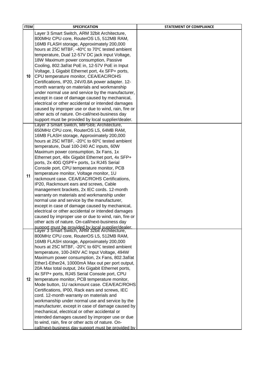| <b>ITEM</b> | <b>SPECIFICATION</b>                                                                                | <b>STATEMENT OF COMPLIANCE</b> |
|-------------|-----------------------------------------------------------------------------------------------------|--------------------------------|
|             | Layer 3 Smart Switch, ARM 32bit Architecture,                                                       |                                |
|             | 800MHz CPU core, RouterOS L5, 512MB RAM,                                                            |                                |
|             | 16MB FLASH storage, Approximately 200,000                                                           |                                |
|             | hours at 25C MTBF, -40°C to 70°C tested ambient                                                     |                                |
|             | temperature, Dual 12-57V DC jack input Voltage,                                                     |                                |
|             | 18W Maximum power consumption, Passive                                                              |                                |
|             | Cooling, 802.3af/at PoE in, 12-57V PoE in Input                                                     |                                |
|             | Voltage, 1 Gigabit Ethernet port, 4x SFP+ ports,                                                    |                                |
| 10          | CPU temperature monitor, CEA/EAC/ROHS                                                               |                                |
|             | Certifications, IP20, 24V/0.8A power adapter. 12-                                                   |                                |
|             | month warranty on materials and workmanship                                                         |                                |
|             | under normal use and service by the manufacturer,                                                   |                                |
|             | except in case of damage caused by mechanical,                                                      |                                |
|             | electrical or other accidental or intended damages                                                  |                                |
|             | caused by improper use or due to wind, rain, fire or                                                |                                |
|             | other acts of nature. On-call/next-business day                                                     |                                |
|             | support must be provided by local supplier/dealer.                                                  |                                |
|             | Layer 3 Smart Switch, MIPSBE Architecture,                                                          |                                |
|             | 650MHz CPU core, RouterOS L5, 64MB RAM,                                                             |                                |
|             | 16MB FLASH storage, Approximately 200,000                                                           |                                |
|             | hours at 25C MTBF, -20°C to 60°C tested ambient                                                     |                                |
|             | temperature, Dual 100-240 AC inputs, 60W                                                            |                                |
|             | Maximum power consumption, 3x Fans, 1x                                                              |                                |
|             | Ethernet port, 48x Gigabit Ethernet port, 4x SFP+                                                   |                                |
|             | ports, 2x 40G QSPF+ ports, 1x RJ45 Serial                                                           |                                |
|             | Console port, CPU temperature monitor, PCB                                                          |                                |
|             | temperature monitor, Voltage monitor, 1U                                                            |                                |
| 11          | rackmount case. CEA/EAC/ROHS Certifications,                                                        |                                |
|             | IP20, Rackmount ears and screws, Cable                                                              |                                |
|             | management brackets, 2x IEC cords. 12-month                                                         |                                |
|             | warranty on materials and workmanship under                                                         |                                |
|             | normal use and service by the manufacturer,                                                         |                                |
|             | except in case of damage caused by mechanical,                                                      |                                |
|             | electrical or other accidental or intended damages                                                  |                                |
|             | caused by improper use or due to wind, rain, fire or                                                |                                |
|             | other acts of nature. On-call/next-business day                                                     |                                |
|             | support must be provided by local supplier/dealer.<br>Layer 3 Smart Switch, ARM 32bit Architecture, |                                |
|             | 800MHz CPU core, RouterOS L5, 512MB RAM,                                                            |                                |
|             | 16MB FLASH storage, Approximately 200,000                                                           |                                |
|             | hours at 25C MTBF, -20°C to 60°C tested ambient                                                     |                                |
|             | temperature, 100-240V AC Input Voltage, 494W                                                        |                                |
|             | Maximum power consumption, 2x Fans, 802.3af/at                                                      |                                |
|             | Ether1-Ether24, 10000mA Max out per port output,                                                    |                                |
|             | 20A Max total output, 24x Gigabit Ethernet ports,                                                   |                                |
|             | 4x SFP+ ports, RJ45 Serial Console port, CPU                                                        |                                |
| 12.         | temperature monitor, PCB temperature monitor,                                                       |                                |
|             | Mode button, 1U rackmount case. CEA/EAC/ROHS                                                        |                                |
|             | Certifications, IP00, Rack ears and screws, IEC                                                     |                                |
|             | cord. 12-month warranty on materials and                                                            |                                |
|             | workmanship under normal use and service by the                                                     |                                |
|             | manufacturer, except in case of damage caused by                                                    |                                |
|             | mechanical, electrical or other accidental or                                                       |                                |
|             | intended damages caused by improper use or due                                                      |                                |
|             | to wind, rain, fire or other acts of nature. On-                                                    |                                |
|             | call/next-business day support must be provided by                                                  |                                |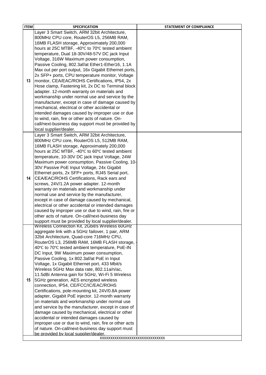| <b>ITEM</b> | <b>SPECIFICATION</b>                                                                              | <b>STATEMENT OF COMPLIANCE</b> |
|-------------|---------------------------------------------------------------------------------------------------|--------------------------------|
|             | Layer 3 Smart Switch, ARM 32bit Architecture,                                                     |                                |
|             | 800MHz CPU core, RouterOS L5, 256MB RAM,                                                          |                                |
|             | 16MB FLASH storage, Approximately 200,000                                                         |                                |
|             | hours at 25C MTBF, -40°C to 70°C tested ambient                                                   |                                |
|             | temperature, Dual 18-30V/48-57V DC jack Input                                                     |                                |
|             | Voltage, 316W Maximum power consumption,                                                          |                                |
|             | Passive Cooling, 802.3af/at Ether1-Ether16, 1.1A                                                  |                                |
|             | Max out per port output, 16x Gigabit Ethernet ports,                                              |                                |
|             | 2x SFP+ ports, CPU temperature monitor, Voltage                                                   |                                |
| 13          | monitor, CEA/EAC/ROHS Certifications, IP54, 2x                                                    |                                |
|             | Hose clamp, Fastening kit, 2x DC to Terminal block                                                |                                |
|             | adapter. 12-month warranty on materials and                                                       |                                |
|             | workmanship under normal use and service by the                                                   |                                |
|             | manufacturer, except in case of damage caused by                                                  |                                |
|             | mechanical, electrical or other accidental or                                                     |                                |
|             | intended damages caused by improper use or due                                                    |                                |
|             | to wind, rain, fire or other acts of nature. On-                                                  |                                |
|             | call/next-business day support must be provided by                                                |                                |
|             | local supplier/dealer.                                                                            |                                |
|             | Layer 3 Smart Switch, ARM 32bit Architecture,                                                     |                                |
|             | 800MHz CPU core, RouterOS L5, 512MB RAM,                                                          |                                |
|             | 16MB FLASH storage, Approximately 200,000                                                         |                                |
|             | hours at 25C MTBF, -40°C to 60°C tested ambient                                                   |                                |
|             | temperature, 10-30V DC jack Input Voltage, 24W                                                    |                                |
|             | Maximum power consumption, Passive Cooling, 10-                                                   |                                |
|             | 30V Passive PoE Input Voltage, 24x Gigabit                                                        |                                |
|             | Ethernet ports, 2x SFP+ ports, RJ45 Serial port,                                                  |                                |
| 14          | CEA/EAC/ROHS Certifications, Rack ears and                                                        |                                |
|             | screws, 24V/1.2A power adapter. 12-month                                                          |                                |
|             | warranty on materials and workmanship under                                                       |                                |
|             | normal use and service by the manufacturer,                                                       |                                |
|             | except in case of damage caused by mechanical,                                                    |                                |
|             | electrical or other accidental or intended damages                                                |                                |
|             | caused by improper use or due to wind, rain, fire or                                              |                                |
|             | other acts of nature. On-call/next-business day                                                   |                                |
|             | support must be provided by local supplier/dealer.                                                |                                |
|             | Wireless Connection Kit, 2Gbit/s Wireless 60GHz                                                   |                                |
|             | aggregate link with a 5GHz failover, 1 pair, ARM                                                  |                                |
|             | 32bit Architecture, Quad-core 716MHz CPU,                                                         |                                |
|             | RouterOS L3, 256MB RAM, 16MB FLASH storage,                                                       |                                |
|             | 40°C to 70°C tested ambient temperature, PoE-IN                                                   |                                |
|             | DC Input, 9W Maximum power consumption,                                                           |                                |
|             | Passive Cooling, 1x 802.3af/at PoE in Input                                                       |                                |
|             | Voltage, 1x Gigabit Ethernet port, 433 Mbit/s                                                     |                                |
|             | Wireless 5GHz Max data rate, 802.11a/n/ac,                                                        |                                |
|             | 11.5dBi Antenna gain for 5GHz, Wi-Fi 5 Wireless                                                   |                                |
| 15          | 5GHz generation, AES encrypted wireless                                                           |                                |
|             | connection, IP54, CE/FCC/IC/EAC/ROHS                                                              |                                |
|             | Certifications, pole-mounting kit, 24V/0.8A power                                                 |                                |
|             | adapter, Gigabit PoE injector. 12-month warranty<br>on materials and workmanship under normal use |                                |
|             | and service by the manufacturer, except in case of                                                |                                |
|             | damage caused by mechanical, electrical or other                                                  |                                |
|             | accidental or intended damages caused by                                                          |                                |
|             | improper use or due to wind, rain, fire or other acts                                             |                                |
|             | of nature. On-call/next-business day support must                                                 |                                |
|             | be provided by local supplier/dealer.                                                             |                                |
|             | XXXXXXXXXXXXXXXXXXXXXXXXXXXXXXX                                                                   |                                |